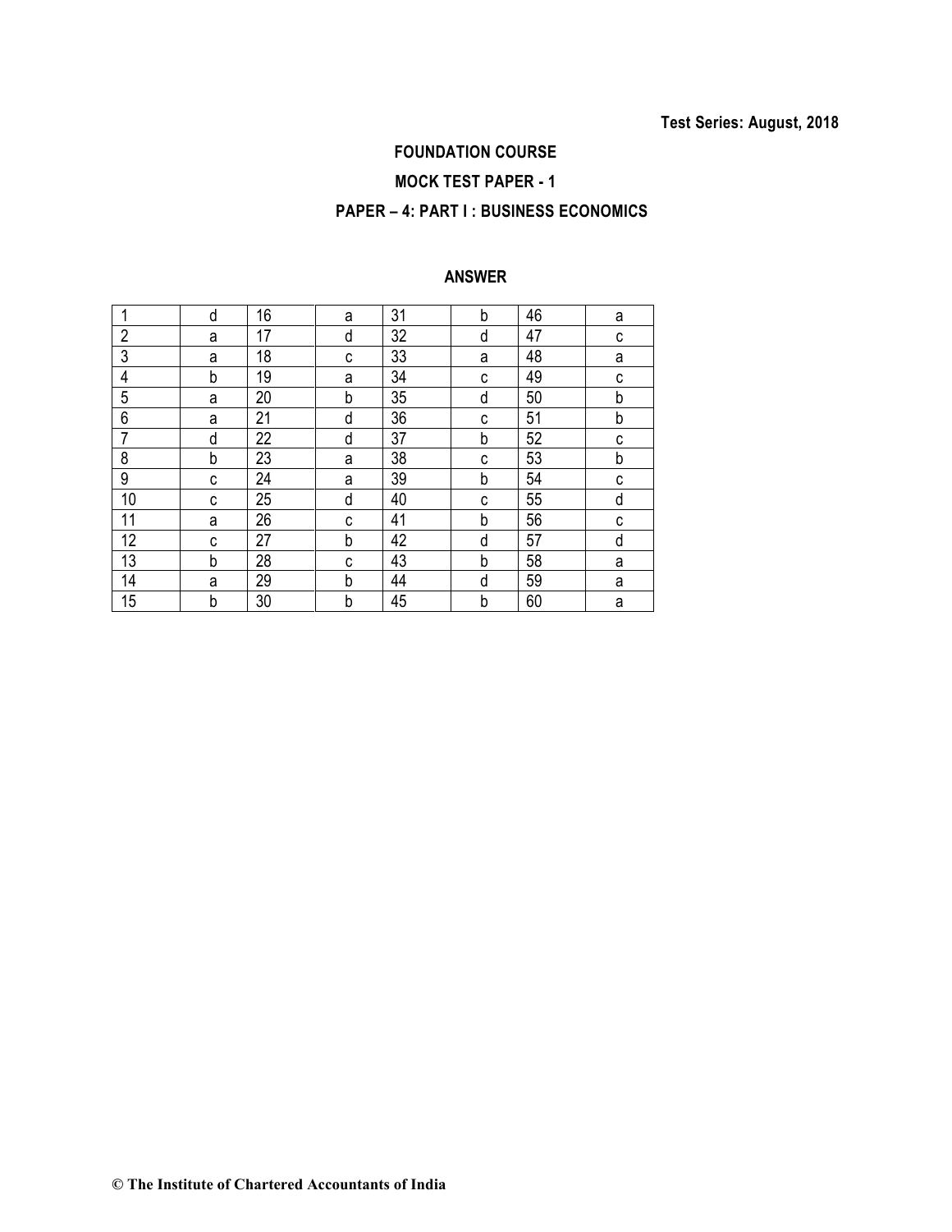#### **FOUNDATION COURSE**

# **MOCK TEST PAPER - 1**

### **PAPER – 4: PART I : BUSINESS ECONOMICS**

#### **ANSWER**

| 1              | d | 16 | a | 31 | b | 46 | a |
|----------------|---|----|---|----|---|----|---|
| $\overline{2}$ | a | 17 | d | 32 | d | 47 | C |
| 3              | a | 18 | C | 33 | a | 48 | a |
| 4              | b | 19 | a | 34 | C | 49 | C |
| 5              | a | 20 | b | 35 | d | 50 | b |
| 6              | a | 21 | d | 36 | C | 51 | b |
| $\overline{7}$ | d | 22 | d | 37 | b | 52 | C |
| 8              | b | 23 | a | 38 | C | 53 | b |
| 9              | C | 24 | a | 39 | b | 54 | C |
| 10             | C | 25 | d | 40 | C | 55 | d |
| 11             | a | 26 | C | 41 | b | 56 | C |
| 12             | C | 27 | b | 42 | d | 57 | d |
| 13             | b | 28 | C | 43 | b | 58 | a |
| 14             | a | 29 | b | 44 | d | 59 | a |
| 15             | b | 30 | b | 45 | b | 60 | a |